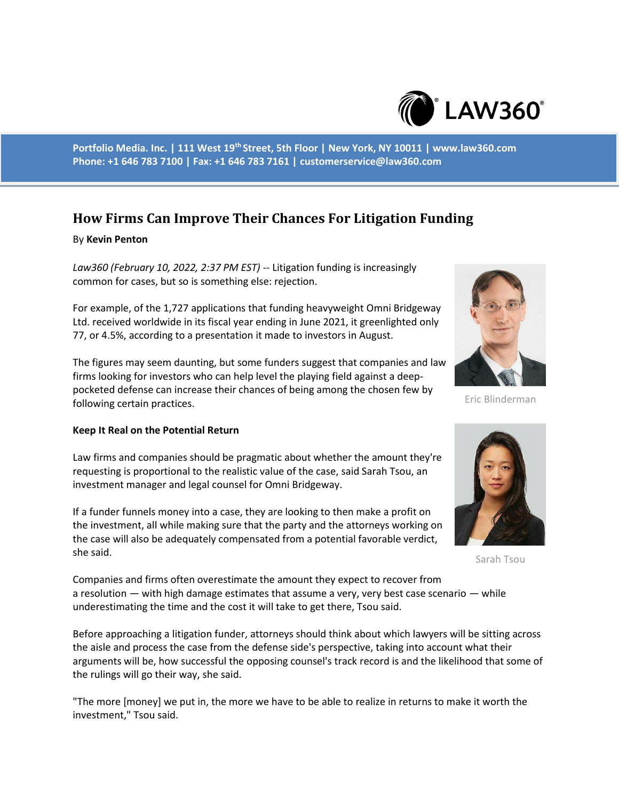

**Portfolio Media. Inc. | 111 West 19th Street, 5th Floor | New York, NY 10011 | www.law360.com Phone: +1 646 783 7100 | Fax: +1 646 783 7161 | customerservice@law360.com**

# **How Firms Can Improve Their Chances For Litigation Funding**

### By **Kevin Penton**

*Law360 (February 10, 2022, 2:37 PM EST)* -- Litigation funding is increasingly common for cases, but so is something else: rejection.

For example, of the 1,727 applications that funding heavyweight Omni Bridgeway Ltd. received worldwide in its fiscal year ending in June 2021, it greenlighted only 77, or 4.5%, according to a presentation it made to investors in August.

The figures may seem daunting, but some funders suggest that companies and law firms looking for investors who can help level the playing field against a deeppocketed defense can increase their chances of being among the chosen few by following certain practices.

#### **Keep It Real on the Potential Return**

Law firms and companies should be pragmatic about whether the amount they're requesting is proportional to the realistic value of the case, said Sarah Tsou, an investment manager and legal counsel for Omni Bridgeway.

If a funder funnels money into a case, they are looking to then make a profit on the investment, all while making sure that the party and the attorneys working on the case will also be adequately compensated from a potential favorable verdict, she said.

Eric Blinderman



Sarah Tsou

Companies and firms often overestimate the amount they expect to recover from a resolution — with high damage estimates that assume a very, very best case scenario — while underestimating the time and the cost it will take to get there, Tsou said.

Before approaching a litigation funder, attorneys should think about which lawyers will be sitting across the aisle and process the case from the defense side's perspective, taking into account what their arguments will be, how successful the opposing counsel's track record is and the likelihood that some of the rulings will go their way, she said.

"The more [money] we put in, the more we have to be able to realize in returns to make it worth the investment," Tsou said.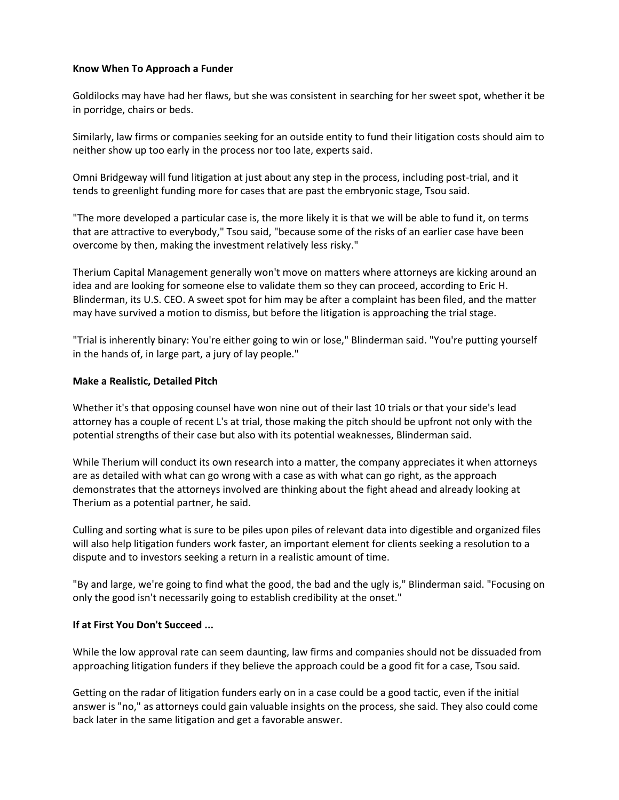# **Know When To Approach a Funder**

Goldilocks may have had her flaws, but she was consistent in searching for her sweet spot, whether it be in porridge, chairs or beds.

Similarly, law firms or companies seeking for an outside entity to fund their litigation costs should aim to neither show up too early in the process nor too late, experts said.

Omni Bridgeway will fund litigation at just about any step in the process, including post-trial, and it tends to greenlight funding more for cases that are past the embryonic stage, Tsou said.

"The more developed a particular case is, the more likely it is that we will be able to fund it, on terms that are attractive to everybody," Tsou said, "because some of the risks of an earlier case have been overcome by then, making the investment relatively less risky."

Therium Capital Management generally won't move on matters where attorneys are kicking around an idea and are looking for someone else to validate them so they can proceed, according to Eric H. Blinderman, its U.S. CEO. A sweet spot for him may be after a complaint has been filed, and the matter may have survived a motion to dismiss, but before the litigation is approaching the trial stage.

"Trial is inherently binary: You're either going to win or lose," Blinderman said. "You're putting yourself in the hands of, in large part, a jury of lay people."

### **Make a Realistic, Detailed Pitch**

Whether it's that opposing counsel have won nine out of their last 10 trials or that your side's lead attorney has a couple of recent L's at trial, those making the pitch should be upfront not only with the potential strengths of their case but also with its potential weaknesses, Blinderman said.

While Therium will conduct its own research into a matter, the company appreciates it when attorneys are as detailed with what can go wrong with a case as with what can go right, as the approach demonstrates that the attorneys involved are thinking about the fight ahead and already looking at Therium as a potential partner, he said.

Culling and sorting what is sure to be piles upon piles of relevant data into digestible and organized files will also help litigation funders work faster, an important element for clients seeking a resolution to a dispute and to investors seeking a return in a realistic amount of time.

"By and large, we're going to find what the good, the bad and the ugly is," Blinderman said. "Focusing on only the good isn't necessarily going to establish credibility at the onset."

# **If at First You Don't Succeed ...**

While the low approval rate can seem daunting, law firms and companies should not be dissuaded from approaching litigation funders if they believe the approach could be a good fit for a case, Tsou said.

Getting on the radar of litigation funders early on in a case could be a good tactic, even if the initial answer is "no," as attorneys could gain valuable insights on the process, she said. They also could come back later in the same litigation and get a favorable answer.